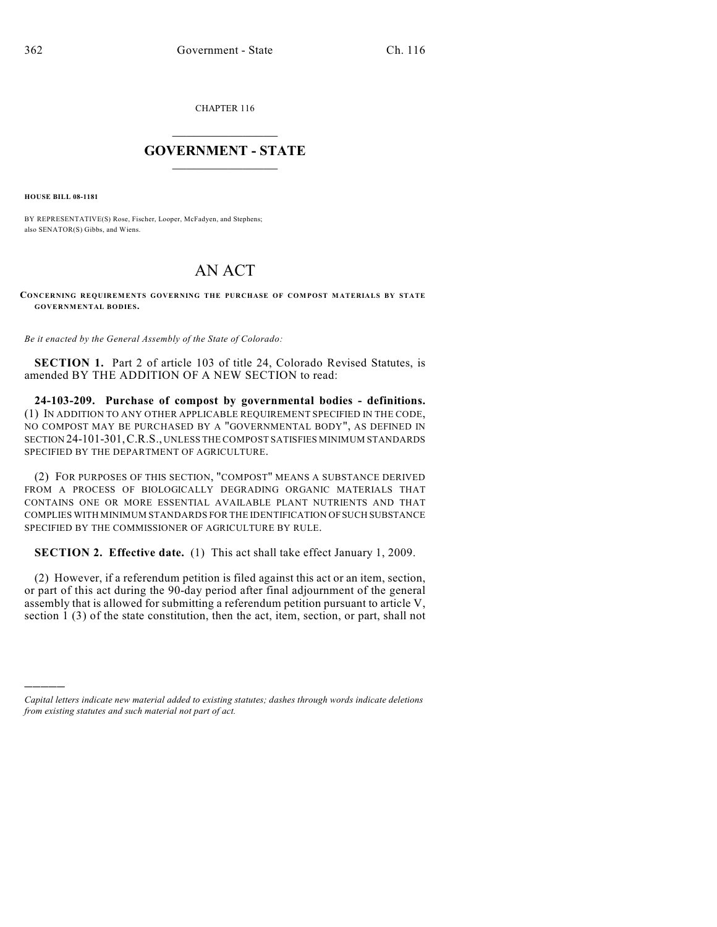CHAPTER 116

## $\mathcal{L}_\text{max}$  . The set of the set of the set of the set of the set of the set of the set of the set of the set of the set of the set of the set of the set of the set of the set of the set of the set of the set of the set **GOVERNMENT - STATE**  $\_$   $\_$

**HOUSE BILL 08-1181**

)))))

BY REPRESENTATIVE(S) Rose, Fischer, Looper, McFadyen, and Stephens; also SENATOR(S) Gibbs, and Wiens.

## AN ACT

**CONCERNING REQUIREMENTS GOVERNING THE PURCHASE OF COMPOST MATERIALS BY STATE GOVERNMENTAL BODIES.**

*Be it enacted by the General Assembly of the State of Colorado:*

**SECTION 1.** Part 2 of article 103 of title 24, Colorado Revised Statutes, is amended BY THE ADDITION OF A NEW SECTION to read:

**24-103-209. Purchase of compost by governmental bodies - definitions.** (1) IN ADDITION TO ANY OTHER APPLICABLE REQUIREMENT SPECIFIED IN THE CODE, NO COMPOST MAY BE PURCHASED BY A "GOVERNMENTAL BODY", AS DEFINED IN SECTION 24-101-301,C.R.S., UNLESS THE COMPOST SATISFIES MINIMUM STANDARDS SPECIFIED BY THE DEPARTMENT OF AGRICULTURE.

(2) FOR PURPOSES OF THIS SECTION, "COMPOST" MEANS A SUBSTANCE DERIVED FROM A PROCESS OF BIOLOGICALLY DEGRADING ORGANIC MATERIALS THAT CONTAINS ONE OR MORE ESSENTIAL AVAILABLE PLANT NUTRIENTS AND THAT COMPLIES WITH MINIMUM STANDARDS FOR THE IDENTIFICATION OF SUCH SUBSTANCE SPECIFIED BY THE COMMISSIONER OF AGRICULTURE BY RULE.

**SECTION 2. Effective date.** (1) This act shall take effect January 1, 2009.

(2) However, if a referendum petition is filed against this act or an item, section, or part of this act during the 90-day period after final adjournment of the general assembly that is allowed for submitting a referendum petition pursuant to article V, section 1 (3) of the state constitution, then the act, item, section, or part, shall not

*Capital letters indicate new material added to existing statutes; dashes through words indicate deletions from existing statutes and such material not part of act.*